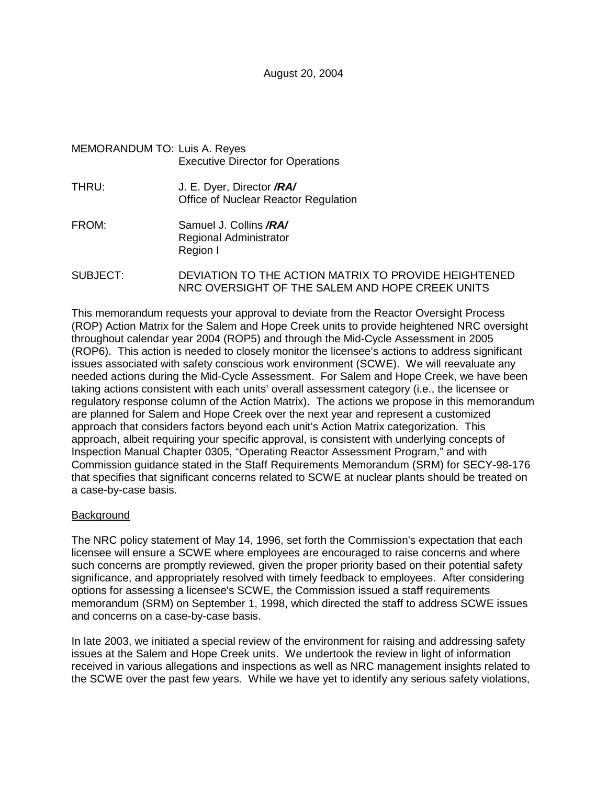## MEMORANDUM TO: Luis A. Reyes Executive Director for Operations

- THRU: J. E. Dyer, Director **/RA/** Office of Nuclear Reactor Regulation
- FROM: Samuel J. Collins **/RA/** Regional Administrator Region I
- SUBJECT: DEVIATION TO THE ACTION MATRIX TO PROVIDE HEIGHTENED NRC OVERSIGHT OF THE SALEM AND HOPE CREEK UNITS

This memorandum requests your approval to deviate from the Reactor Oversight Process (ROP) Action Matrix for the Salem and Hope Creek units to provide heightened NRC oversight throughout calendar year 2004 (ROP5) and through the Mid-Cycle Assessment in 2005 (ROP6). This action is needed to closely monitor the licensee's actions to address significant issues associated with safety conscious work environment (SCWE). We will reevaluate any needed actions during the Mid-Cycle Assessment. For Salem and Hope Creek, we have been taking actions consistent with each units' overall assessment category (i.e., the licensee or regulatory response column of the Action Matrix). The actions we propose in this memorandum are planned for Salem and Hope Creek over the next year and represent a customized approach that considers factors beyond each unit's Action Matrix categorization. This approach, albeit requiring your specific approval, is consistent with underlying concepts of Inspection Manual Chapter 0305, "Operating Reactor Assessment Program," and with Commission guidance stated in the Staff Requirements Memorandum (SRM) for SECY-98-176 that specifies that significant concerns related to SCWE at nuclear plants should be treated on a case-by-case basis.

### **Background**

The NRC policy statement of May 14, 1996, set forth the Commission's expectation that each licensee will ensure a SCWE where employees are encouraged to raise concerns and where such concerns are promptly reviewed, given the proper priority based on their potential safety significance, and appropriately resolved with timely feedback to employees. After considering options for assessing a licensee's SCWE, the Commission issued a staff requirements memorandum (SRM) on September 1, 1998, which directed the staff to address SCWE issues and concerns on a case-by-case basis.

In late 2003, we initiated a special review of the environment for raising and addressing safety issues at the Salem and Hope Creek units. We undertook the review in light of information received in various allegations and inspections as well as NRC management insights related to the SCWE over the past few years. While we have yet to identify any serious safety violations,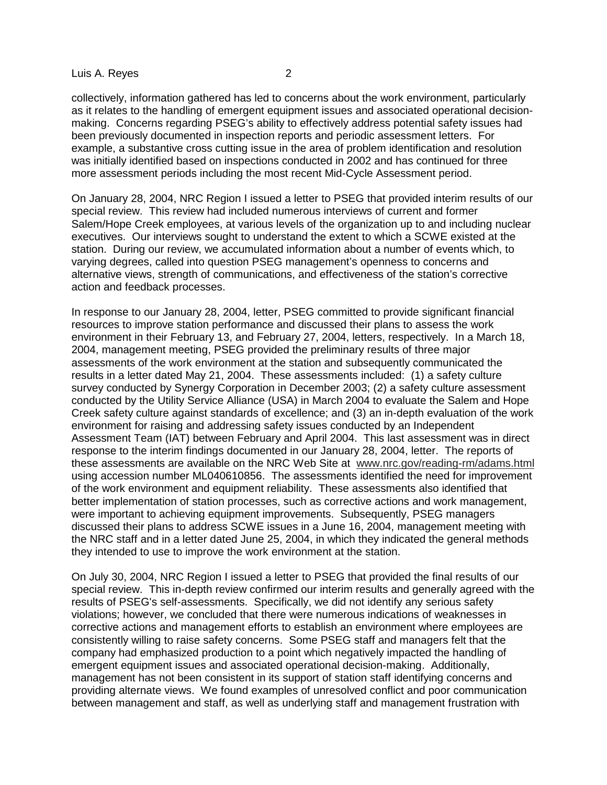#### Luis A. Reyes 2

collectively, information gathered has led to concerns about the work environment, particularly as it relates to the handling of emergent equipment issues and associated operational decisionmaking. Concerns regarding PSEG's ability to effectively address potential safety issues had been previously documented in inspection reports and periodic assessment letters. For example, a substantive cross cutting issue in the area of problem identification and resolution was initially identified based on inspections conducted in 2002 and has continued for three more assessment periods including the most recent Mid-Cycle Assessment period.

On January 28, 2004, NRC Region I issued a letter to PSEG that provided interim results of our special review. This review had included numerous interviews of current and former Salem/Hope Creek employees, at various levels of the organization up to and including nuclear executives. Our interviews sought to understand the extent to which a SCWE existed at the station. During our review, we accumulated information about a number of events which, to varying degrees, called into question PSEG management's openness to concerns and alternative views, strength of communications, and effectiveness of the station's corrective action and feedback processes.

In response to our January 28, 2004, letter, PSEG committed to provide significant financial resources to improve station performance and discussed their plans to assess the work environment in their February 13, and February 27, 2004, letters, respectively. In a March 18, 2004, management meeting, PSEG provided the preliminary results of three major assessments of the work environment at the station and subsequently communicated the results in a letter dated May 21, 2004. These assessments included: (1) a safety culture survey conducted by Synergy Corporation in December 2003; (2) a safety culture assessment conducted by the Utility Service Alliance (USA) in March 2004 to evaluate the Salem and Hope Creek safety culture against standards of excellence; and (3) an in-depth evaluation of the work environment for raising and addressing safety issues conducted by an Independent Assessment Team (IAT) between February and April 2004. This last assessment was in direct response to the interim findings documented in our January 28, 2004, letter. The reports of these assessments are available on the NRC Web Site at www.nrc.gov/reading-rm/adams.html using accession number ML040610856. The assessments identified the need for improvement of the work environment and equipment reliability. These assessments also identified that better implementation of station processes, such as corrective actions and work management, were important to achieving equipment improvements. Subsequently, PSEG managers discussed their plans to address SCWE issues in a June 16, 2004, management meeting with the NRC staff and in a letter dated June 25, 2004, in which they indicated the general methods they intended to use to improve the work environment at the station.

On July 30, 2004, NRC Region I issued a letter to PSEG that provided the final results of our special review. This in-depth review confirmed our interim results and generally agreed with the results of PSEG's self-assessments. Specifically, we did not identify any serious safety violations; however, we concluded that there were numerous indications of weaknesses in corrective actions and management efforts to establish an environment where employees are consistently willing to raise safety concerns. Some PSEG staff and managers felt that the company had emphasized production to a point which negatively impacted the handling of emergent equipment issues and associated operational decision-making. Additionally, management has not been consistent in its support of station staff identifying concerns and providing alternate views. We found examples of unresolved conflict and poor communication between management and staff, as well as underlying staff and management frustration with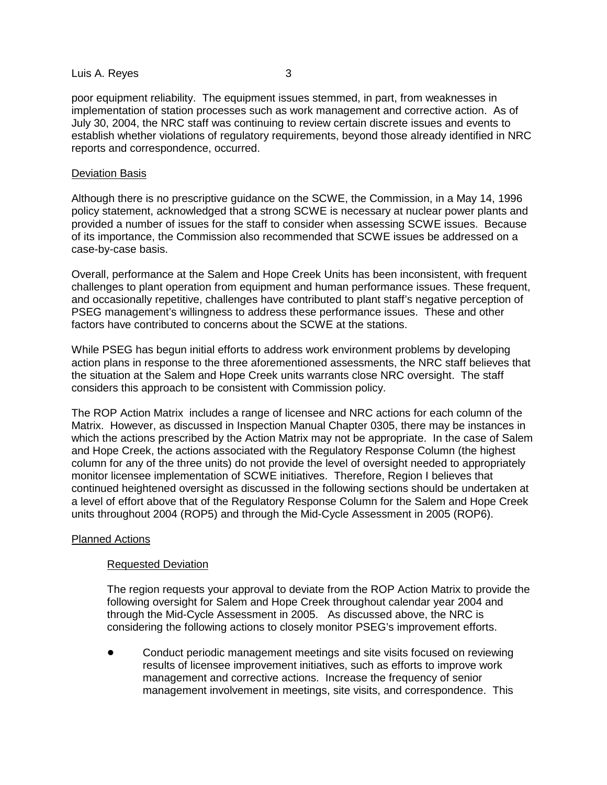#### Luis A. Reyes 3

poor equipment reliability. The equipment issues stemmed, in part, from weaknesses in implementation of station processes such as work management and corrective action. As of July 30, 2004, the NRC staff was continuing to review certain discrete issues and events to establish whether violations of regulatory requirements, beyond those already identified in NRC reports and correspondence, occurred.

#### Deviation Basis

Although there is no prescriptive guidance on the SCWE, the Commission, in a May 14, 1996 policy statement, acknowledged that a strong SCWE is necessary at nuclear power plants and provided a number of issues for the staff to consider when assessing SCWE issues. Because of its importance, the Commission also recommended that SCWE issues be addressed on a case-by-case basis.

Overall, performance at the Salem and Hope Creek Units has been inconsistent, with frequent challenges to plant operation from equipment and human performance issues. These frequent, and occasionally repetitive, challenges have contributed to plant staff's negative perception of PSEG management's willingness to address these performance issues. These and other factors have contributed to concerns about the SCWE at the stations.

While PSEG has begun initial efforts to address work environment problems by developing action plans in response to the three aforementioned assessments, the NRC staff believes that the situation at the Salem and Hope Creek units warrants close NRC oversight. The staff considers this approach to be consistent with Commission policy.

The ROP Action Matrix includes a range of licensee and NRC actions for each column of the Matrix. However, as discussed in Inspection Manual Chapter 0305, there may be instances in which the actions prescribed by the Action Matrix may not be appropriate. In the case of Salem and Hope Creek, the actions associated with the Regulatory Response Column (the highest column for any of the three units) do not provide the level of oversight needed to appropriately monitor licensee implementation of SCWE initiatives. Therefore, Region I believes that continued heightened oversight as discussed in the following sections should be undertaken at a level of effort above that of the Regulatory Response Column for the Salem and Hope Creek units throughout 2004 (ROP5) and through the Mid-Cycle Assessment in 2005 (ROP6).

### Planned Actions

### Requested Deviation

The region requests your approval to deviate from the ROP Action Matrix to provide the following oversight for Salem and Hope Creek throughout calendar year 2004 and through the Mid-Cycle Assessment in 2005. As discussed above, the NRC is considering the following actions to closely monitor PSEG's improvement efforts.

 Conduct periodic management meetings and site visits focused on reviewing results of licensee improvement initiatives, such as efforts to improve work management and corrective actions. Increase the frequency of senior management involvement in meetings, site visits, and correspondence. This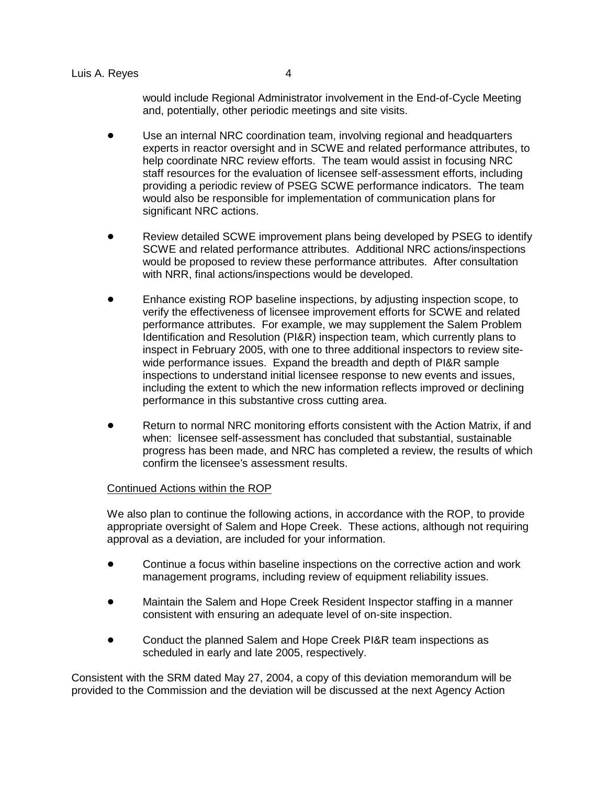would include Regional Administrator involvement in the End-of-Cycle Meeting and, potentially, other periodic meetings and site visits.

- Use an internal NRC coordination team, involving regional and headquarters experts in reactor oversight and in SCWE and related performance attributes, to help coordinate NRC review efforts. The team would assist in focusing NRC staff resources for the evaluation of licensee self-assessment efforts, including providing a periodic review of PSEG SCWE performance indicators. The team would also be responsible for implementation of communication plans for significant NRC actions.
- Review detailed SCWE improvement plans being developed by PSEG to identify SCWE and related performance attributes. Additional NRC actions/inspections would be proposed to review these performance attributes. After consultation with NRR, final actions/inspections would be developed.
- Enhance existing ROP baseline inspections, by adjusting inspection scope, to verify the effectiveness of licensee improvement efforts for SCWE and related performance attributes. For example, we may supplement the Salem Problem Identification and Resolution (PI&R) inspection team, which currently plans to inspect in February 2005, with one to three additional inspectors to review sitewide performance issues. Expand the breadth and depth of PI&R sample inspections to understand initial licensee response to new events and issues, including the extent to which the new information reflects improved or declining performance in this substantive cross cutting area.
- Return to normal NRC monitoring efforts consistent with the Action Matrix, if and when: licensee self-assessment has concluded that substantial, sustainable progress has been made, and NRC has completed a review, the results of which confirm the licensee's assessment results.

# Continued Actions within the ROP

We also plan to continue the following actions, in accordance with the ROP, to provide appropriate oversight of Salem and Hope Creek. These actions, although not requiring approval as a deviation, are included for your information.

- Continue a focus within baseline inspections on the corrective action and work management programs, including review of equipment reliability issues.
- Maintain the Salem and Hope Creek Resident Inspector staffing in a manner consistent with ensuring an adequate level of on-site inspection.
- Conduct the planned Salem and Hope Creek PI&R team inspections as scheduled in early and late 2005, respectively.

Consistent with the SRM dated May 27, 2004, a copy of this deviation memorandum will be provided to the Commission and the deviation will be discussed at the next Agency Action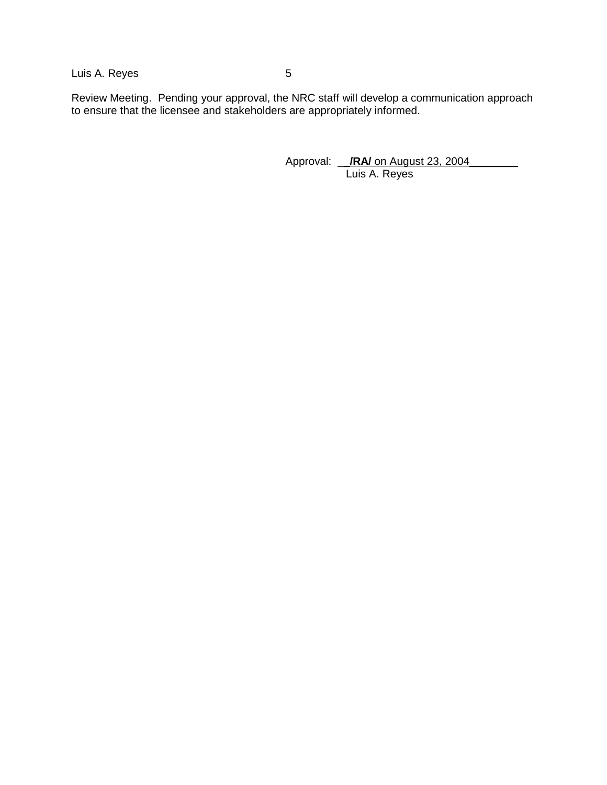Luis A. Reyes 5

Review Meeting. Pending your approval, the NRC staff will develop a communication approach to ensure that the licensee and stakeholders are appropriately informed.

> Approval: \_\_**/RA/** on August 23, 2004\_\_\_\_\_\_\_\_ Luis A. Reyes